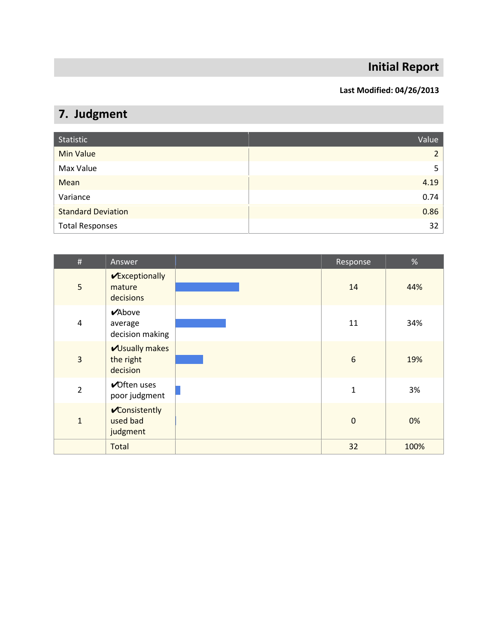## **Initial Report**

#### **Last Modified: 04/26/2013**

## **7. Judgment**

| Statistic                 | Value          |
|---------------------------|----------------|
| <b>Min Value</b>          | $\overline{2}$ |
| Max Value                 | 5              |
| Mean                      | 4.19           |
| Variance                  | 0.74           |
| <b>Standard Deviation</b> | 0.86           |
| <b>Total Responses</b>    | 32             |

| $\#$           | Answer                                         | Response         | %    |
|----------------|------------------------------------------------|------------------|------|
| 5              | Exceptionally<br>mature<br>decisions           | 14               | 44%  |
| $\overline{4}$ | VAbove<br>average<br>decision making           | 11               | 34%  |
| $\overline{3}$ | <b>VUsually makes</b><br>the right<br>decision | 6                | 19%  |
| $\overline{2}$ | <b>√</b> Often uses<br>poor judgment           | $\overline{1}$   | 3%   |
| $\mathbf{1}$   | Consistently<br>used bad<br>judgment           | $\boldsymbol{0}$ | 0%   |
|                | Total                                          | 32               | 100% |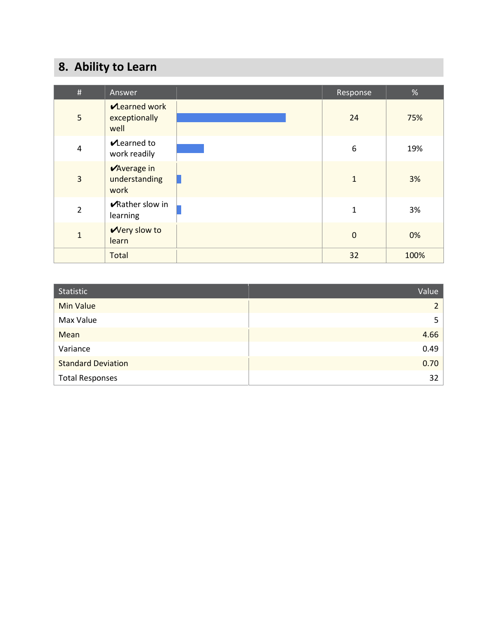## **8. Ability to Learn**

| $\#$           | Answer                                       | Response     | %    |
|----------------|----------------------------------------------|--------------|------|
| 5              | <b>Mearned work</b><br>exceptionally<br>well | 24           | 75%  |
| $\overline{4}$ | Learned to<br>work readily                   | 6            | 19%  |
| 3              | <b>VAverage in</b><br>understanding<br>work  | $\mathbf{1}$ | 3%   |
| $\overline{2}$ | <b>√Rather slow in</b><br>learning           | 1            | 3%   |
| $\mathbf{1}$   | Wery slow to<br>learn                        | $\mathbf{0}$ | 0%   |
|                | <b>Total</b>                                 | 32           | 100% |

| Statistic                 | Value |
|---------------------------|-------|
| <b>Min Value</b>          |       |
| Max Value                 |       |
| Mean                      | 4.66  |
| Variance                  | 0.49  |
| <b>Standard Deviation</b> | 0.70  |
| <b>Total Responses</b>    | 32    |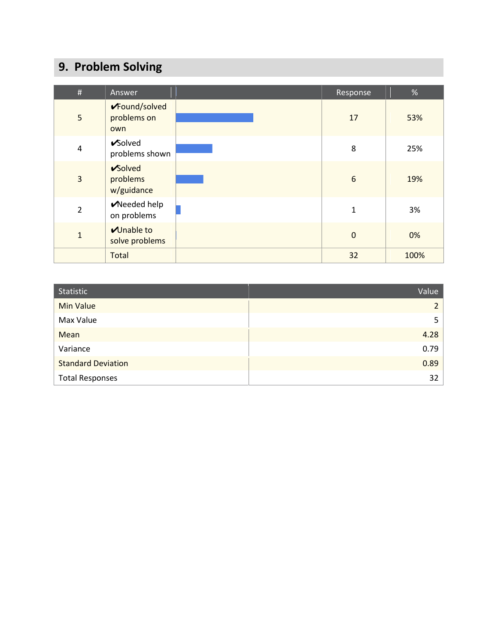## **9. Problem Solving**

| $\#$           | Answer                              | Response     | %    |
|----------------|-------------------------------------|--------------|------|
| 5              | √Found/solved<br>problems on<br>own | 17           | 53%  |
| $\pmb{4}$      | Solved<br>problems shown            | 8            | 25%  |
| 3              | Solved<br>problems<br>w/guidance    | 6            | 19%  |
| $\overline{2}$ | Meeded help<br>on problems          | $\mathbf{1}$ | 3%   |
| $\mathbf{1}$   | <b>M</b> nable to<br>solve problems | $\mathbf 0$  | 0%   |
|                | Total                               | 32           | 100% |

| Statistic                 | Value |
|---------------------------|-------|
| <b>Min Value</b>          |       |
| Max Value                 |       |
| Mean                      | 4.28  |
| Variance                  | 0.79  |
| <b>Standard Deviation</b> | 0.89  |
| <b>Total Responses</b>    | 32    |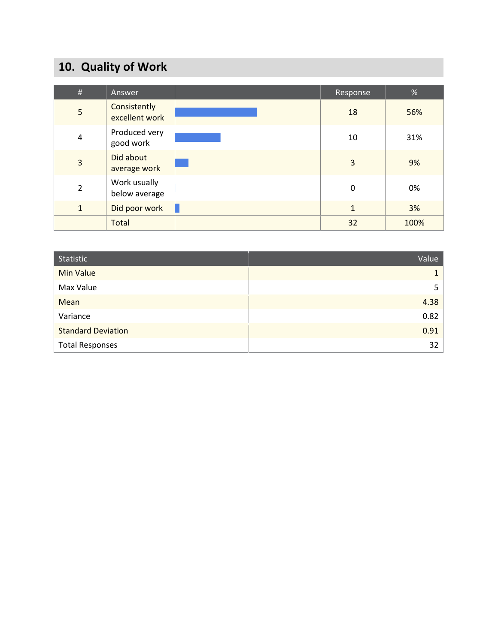## **10. Quality of Work**

| $\#$           | Answer                         | Response     | %    |
|----------------|--------------------------------|--------------|------|
| 5              | Consistently<br>excellent work | 18           | 56%  |
| $\pmb{4}$      | Produced very<br>good work     | 10           | 31%  |
| 3              | Did about<br>average work      | 3            | 9%   |
| $\overline{2}$ | Work usually<br>below average  | 0            | 0%   |
| $\mathbf{1}$   | Did poor work                  | $\mathbf{1}$ | 3%   |
|                | <b>Total</b>                   | 32           | 100% |

| Statistic                 | Value |
|---------------------------|-------|
| <b>Min Value</b>          |       |
| Max Value                 | 5.    |
| Mean                      | 4.38  |
| Variance                  | 0.82  |
| <b>Standard Deviation</b> | 0.91  |
| <b>Total Responses</b>    | 32    |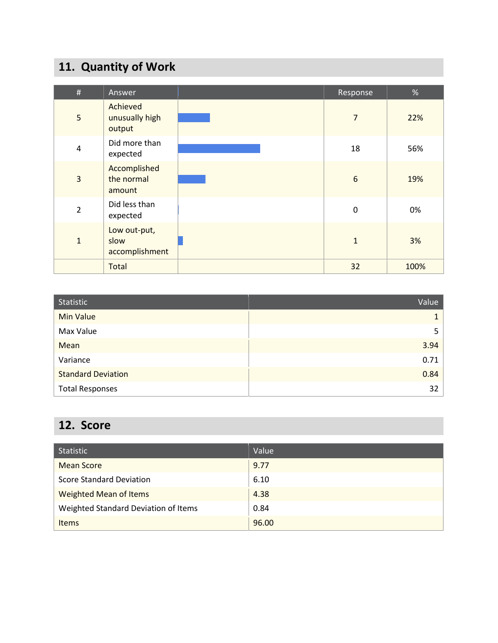## **11. Quantity of Work**

| $\#$           | Answer                                 | Response       | $\%$ |
|----------------|----------------------------------------|----------------|------|
| 5              | Achieved<br>unusually high<br>output   | $\overline{7}$ | 22%  |
| $\pmb{4}$      | Did more than<br>expected              | 18             | 56%  |
| $\overline{3}$ | Accomplished<br>the normal<br>amount   | $6\,$          | 19%  |
| $\overline{2}$ | Did less than<br>expected              | $\mathbf 0$    | 0%   |
| $\mathbf{1}$   | Low out-put,<br>slow<br>accomplishment | $\mathbf{1}$   | 3%   |
|                | Total                                  | 32             | 100% |

| Statistic                 | Value |
|---------------------------|-------|
| <b>Min Value</b>          |       |
| Max Value                 | 5     |
| Mean                      | 3.94  |
| Variance                  | 0.71  |
| <b>Standard Deviation</b> | 0.84  |
| <b>Total Responses</b>    | 32    |

#### **12. Score**

| <b>Statistic</b>                     | Value |
|--------------------------------------|-------|
| <b>Mean Score</b>                    | 9.77  |
| <b>Score Standard Deviation</b>      | 6.10  |
| <b>Weighted Mean of Items</b>        | 4.38  |
| Weighted Standard Deviation of Items | 0.84  |
| <b>Items</b>                         | 96.00 |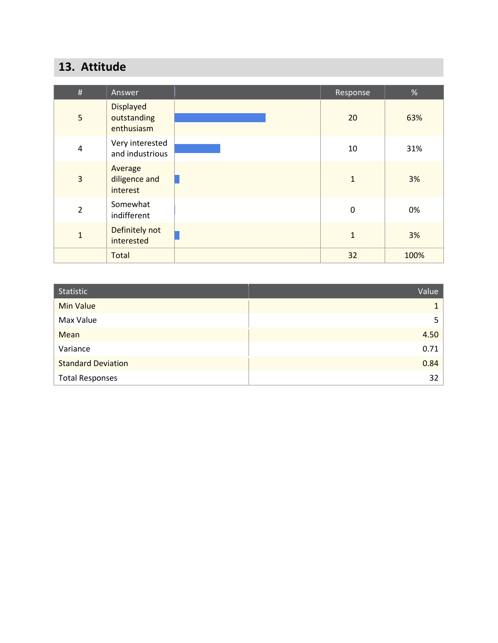### **13. Attitude**

| #              | Answer                                        | Response     | %    |
|----------------|-----------------------------------------------|--------------|------|
| 5              | <b>Displayed</b><br>outstanding<br>enthusiasm | 20           | 63%  |
| $\pmb{4}$      | Very interested<br>and industrious            | 10           | 31%  |
| $\overline{3}$ | Average<br>diligence and<br>interest          | $\mathbf{1}$ | 3%   |
| $\overline{2}$ | Somewhat<br>indifferent                       | $\mathbf 0$  | 0%   |
| $\mathbf{1}$   | Definitely not<br>interested                  | $\mathbf{1}$ | 3%   |
|                | <b>Total</b>                                  | 32           | 100% |

| Statistic                 | Value |
|---------------------------|-------|
| <b>Min Value</b>          |       |
| Max Value                 |       |
| Mean                      | 4.50  |
| Variance                  | 0.71  |
| <b>Standard Deviation</b> | 0.84  |
| <b>Total Responses</b>    | 32    |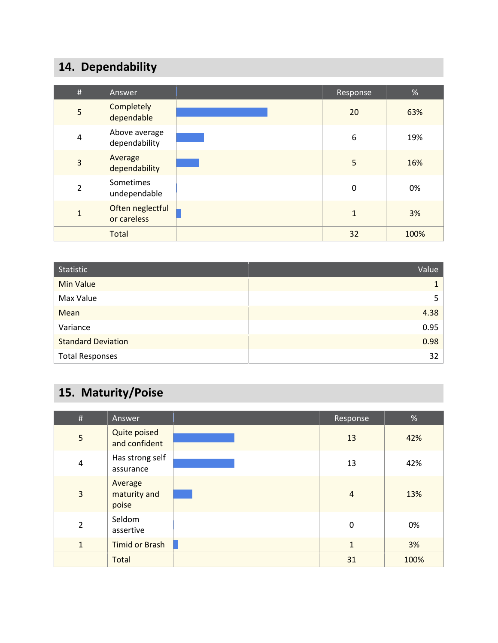## **14. Dependability**

| #              | Answer                          | Response     | $\%$ |
|----------------|---------------------------------|--------------|------|
| $\overline{5}$ | Completely<br>dependable        | 20           | 63%  |
| $\sqrt{4}$     | Above average<br>dependability  | 6            | 19%  |
| 3              | Average<br>dependability        | 5            | 16%  |
| $\overline{2}$ | Sometimes<br>undependable       | $\mathbf 0$  | 0%   |
| $\mathbf{1}$   | Often neglectful<br>or careless | $\mathbf{1}$ | 3%   |
|                | Total                           | 32           | 100% |

| Statistic                 | Value |
|---------------------------|-------|
| <b>Min Value</b>          |       |
| Max Value                 | 5     |
| Mean                      | 4.38  |
| Variance                  | 0.95  |
| <b>Standard Deviation</b> | 0.98  |
| <b>Total Responses</b>    | 32    |

## **15. Maturity/Poise**

| $\#$         | Answer                               | Response       | %    |
|--------------|--------------------------------------|----------------|------|
| 5            | <b>Quite poised</b><br>and confident | 13             | 42%  |
| $\pmb{4}$    | Has strong self<br>assurance         | 13             | 42%  |
| 3            | Average<br>maturity and<br>poise     | $\overline{4}$ | 13%  |
| 2            | Seldom<br>assertive                  | $\Omega$       | 0%   |
| $\mathbf{1}$ | <b>Timid or Brash</b>                | $\mathbf{1}$   | 3%   |
|              | Total                                | 31             | 100% |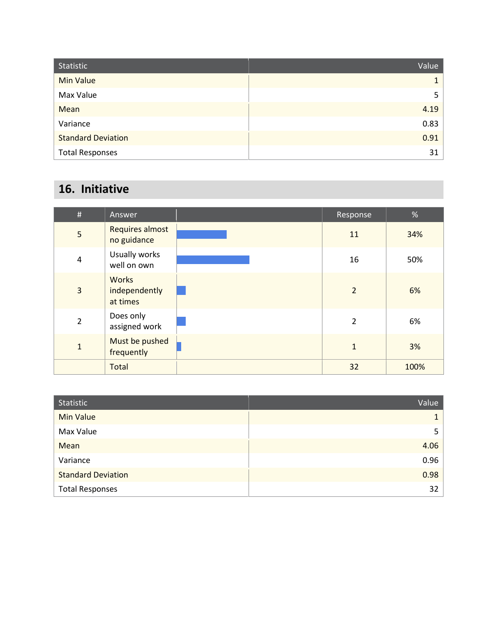| Statistic                 | Value |
|---------------------------|-------|
| <b>Min Value</b>          |       |
| Max Value                 | 5.    |
| Mean                      | 4.19  |
| Variance                  | 0.83  |
| <b>Standard Deviation</b> | 0.91  |
| <b>Total Responses</b>    | 31    |

### **16. Initiative**

| $\#$           | Answer                                    | Response       | %    |
|----------------|-------------------------------------------|----------------|------|
| $\overline{5}$ | Requires almost<br>no guidance            | 11             | 34%  |
| $\overline{4}$ | Usually works<br>well on own              | 16             | 50%  |
| 3              | <b>Works</b><br>independently<br>at times | $\overline{2}$ | 6%   |
| $\overline{2}$ | Does only<br>assigned work                | $\overline{2}$ | 6%   |
| $\mathbf{1}$   | Must be pushed<br>frequently              | $\mathbf{1}$   | 3%   |
|                | Total                                     | 32             | 100% |

| Statistic                 | Value |
|---------------------------|-------|
| <b>Min Value</b>          |       |
| Max Value                 | 5.    |
| Mean                      | 4.06  |
| Variance                  | 0.96  |
| <b>Standard Deviation</b> | 0.98  |
| <b>Total Responses</b>    | 32    |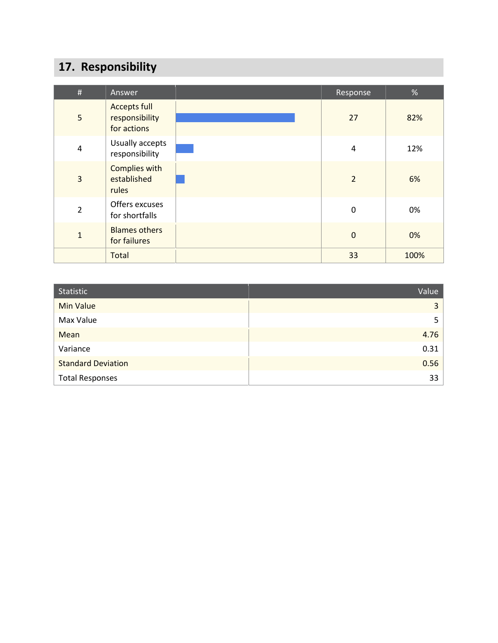## **17. Responsibility**

| #              | Answer                                               | Response       | %    |
|----------------|------------------------------------------------------|----------------|------|
| 5              | <b>Accepts full</b><br>responsibility<br>for actions | 27             | 82%  |
| $\overline{4}$ | Usually accepts<br>responsibility                    | 4              | 12%  |
| $\overline{3}$ | <b>Complies with</b><br>established<br>rules         | $\overline{2}$ | 6%   |
| $\overline{2}$ | Offers excuses<br>for shortfalls                     | 0              | 0%   |
| $\mathbf{1}$   | <b>Blames others</b><br>for failures                 | $\mathbf 0$    | 0%   |
|                | Total                                                | 33             | 100% |

| Statistic                 | Value |
|---------------------------|-------|
| <b>Min Value</b>          |       |
| Max Value                 |       |
| Mean                      | 4.76  |
| Variance                  | 0.31  |
| <b>Standard Deviation</b> | 0.56  |
| <b>Total Responses</b>    | 33    |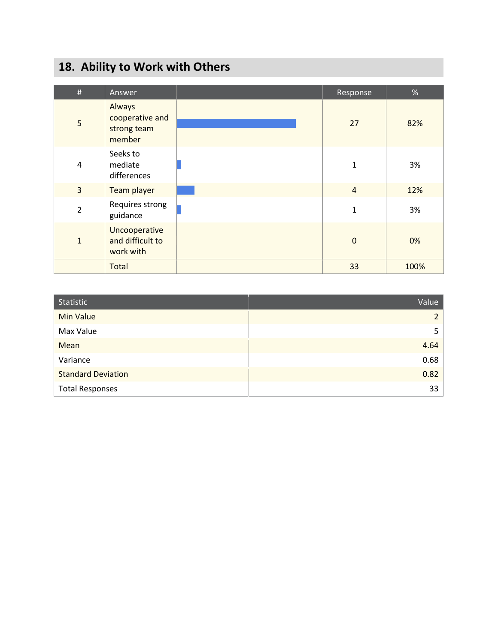## **18. Ability to Work with Others**

| $\#$           | Answer                                             | Response       | $\%$ |
|----------------|----------------------------------------------------|----------------|------|
| 5              | Always<br>cooperative and<br>strong team<br>member | 27             | 82%  |
| $\overline{4}$ | Seeks to<br>mediate<br>differences                 | $\mathbf{1}$   | 3%   |
| $\overline{3}$ | Team player                                        | $\overline{4}$ | 12%  |
| $\overline{2}$ | Requires strong<br>guidance                        | $\mathbf{1}$   | 3%   |
| $\mathbf{1}$   | Uncooperative<br>and difficult to<br>work with     | $\mathbf 0$    | 0%   |
|                | Total                                              | 33             | 100% |

| Statistic                 | Value          |
|---------------------------|----------------|
| <b>Min Value</b>          | $\overline{2}$ |
| Max Value                 | 5.             |
| Mean                      | 4.64           |
| Variance                  | 0.68           |
| <b>Standard Deviation</b> | 0.82           |
| <b>Total Responses</b>    | 33             |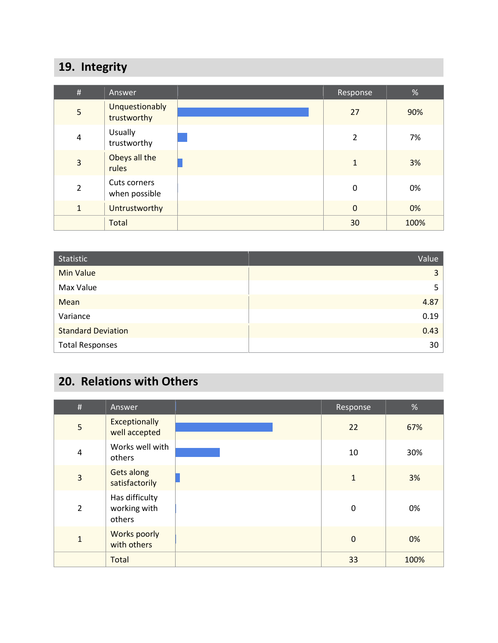## **19. Integrity**

| $\#$           | Answer                               | Response     | $\%$ |
|----------------|--------------------------------------|--------------|------|
| $\overline{5}$ | <b>Unquestionably</b><br>trustworthy | 27           | 90%  |
| $\sqrt{4}$     | Usually<br>trustworthy               | 2            | 7%   |
| 3              | Obeys all the<br>rules               |              | 3%   |
| $\overline{2}$ | Cuts corners<br>when possible        | $\mathbf 0$  | 0%   |
| $\mathbf{1}$   | Untrustworthy                        | $\mathbf{0}$ | 0%   |
|                | Total                                | 30           | 100% |

| Statistic                 | Value |
|---------------------------|-------|
| <b>Min Value</b>          | 3     |
| Max Value                 | 5     |
| Mean                      | 4.87  |
| Variance                  | 0.19  |
| <b>Standard Deviation</b> | 0.43  |
| <b>Total Responses</b>    | 30    |

### **20. Relations with Others**

| $\#$           | Answer                                   | Response     | %    |
|----------------|------------------------------------------|--------------|------|
| $\overline{5}$ | Exceptionally<br>well accepted           | 22           | 67%  |
| $\overline{4}$ | Works well with<br>others                | 10           | 30%  |
| 3              | <b>Gets along</b><br>satisfactorily      | $\mathbf{1}$ | 3%   |
| $\overline{2}$ | Has difficulty<br>working with<br>others | $\mathbf 0$  | 0%   |
| $\mathbf{1}$   | <b>Works poorly</b><br>with others       | $\mathbf 0$  | 0%   |
|                | Total                                    | 33           | 100% |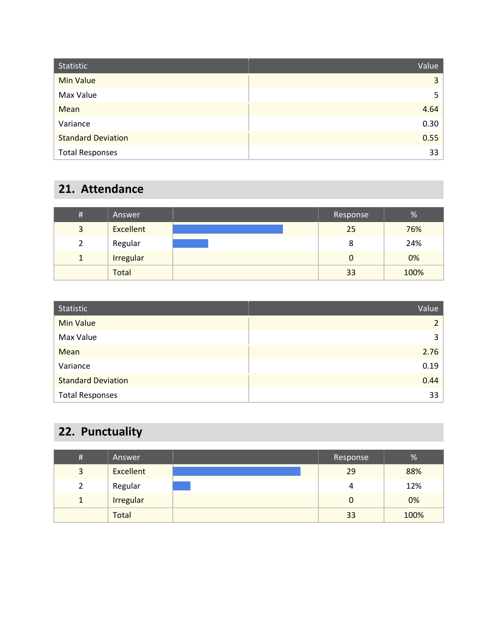| Statistic                 | Value |
|---------------------------|-------|
| <b>Min Value</b>          | 3     |
| Max Value                 | 5     |
| Mean                      | 4.64  |
| Variance                  | 0.30  |
| <b>Standard Deviation</b> | 0.55  |
| <b>Total Responses</b>    | 33    |

#### **21. Attendance**

| #            | Answer           | Response | %    |
|--------------|------------------|----------|------|
| 3            | Excellent        | 25       | 76%  |
| 2            | Regular          | 8        | 24%  |
| $\mathbf{1}$ | <b>Irregular</b> | O        | 0%   |
|              | <b>Total</b>     | 33       | 100% |

| Statistic                 | Value          |
|---------------------------|----------------|
| <b>Min Value</b>          | $\overline{2}$ |
| Max Value                 | 3              |
| Mean                      | 2.76           |
| Variance                  | 0.19           |
| <b>Standard Deviation</b> | 0.44           |
| <b>Total Responses</b>    | 33             |

## **22. Punctuality**

| # | Answer           | Response | %    |
|---|------------------|----------|------|
| 3 | Excellent        | 29       | 88%  |
|   | Regular          | 4        | 12%  |
|   | <b>Irregular</b> | 0        | 0%   |
|   | <b>Total</b>     | 33       | 100% |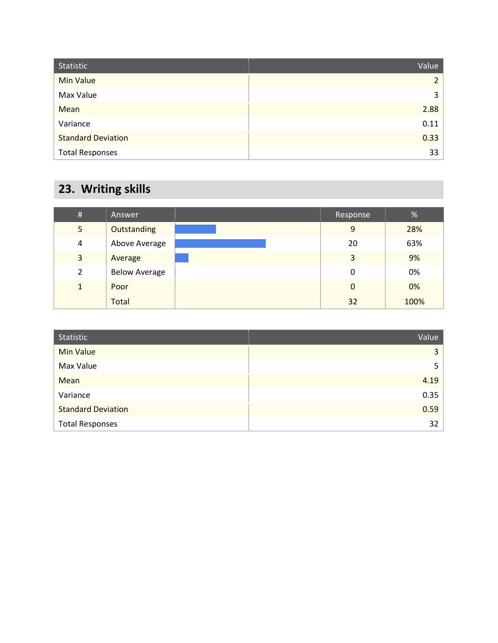| Statistic                 | Value          |
|---------------------------|----------------|
| <b>Min Value</b>          | $\overline{2}$ |
| Max Value                 | 3              |
| Mean                      | 2.88           |
| Variance                  | 0.11           |
| <b>Standard Deviation</b> | 0.33           |
| <b>Total Responses</b>    | 33             |

## **23. Writing skills**

| $\#$           | Answer               | Response | %    |
|----------------|----------------------|----------|------|
| 5              | Outstanding          | 9        | 28%  |
| $\overline{a}$ | Above Average        | 20       | 63%  |
| 3              | Average              | 3        | 9%   |
| 2              | <b>Below Average</b> | 0        | 0%   |
| 1              | Poor                 | 0        | 0%   |
|                | <b>Total</b>         | 32       | 100% |

| Statistic                 | Value |
|---------------------------|-------|
| <b>Min Value</b>          | 3     |
| Max Value                 | 5.    |
| Mean                      | 4.19  |
| Variance                  | 0.35  |
| <b>Standard Deviation</b> | 0.59  |
| <b>Total Responses</b>    | 32    |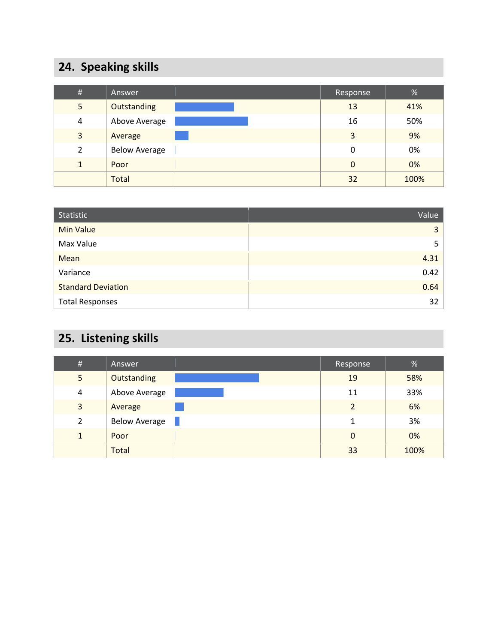## **24. Speaking skills**

| # | Answer               | Response       | %    |
|---|----------------------|----------------|------|
| 5 | Outstanding          | 13             | 41%  |
| 4 | Above Average        | 16             | 50%  |
| 3 | Average              | 3              | 9%   |
| 2 | <b>Below Average</b> | 0              | 0%   |
| 1 | Poor                 | $\overline{0}$ | 0%   |
|   | <b>Total</b>         | 32             | 100% |

| Statistic                 | Value          |
|---------------------------|----------------|
| <b>Min Value</b>          | $\overline{3}$ |
| Max Value                 | 5.             |
| Mean                      | 4.31           |
| Variance                  | 0.42           |
| <b>Standard Deviation</b> | 0.64           |
| <b>Total Responses</b>    | 32             |

## **25. Listening skills**

| $\#$           | Answer               | Response       | $\%$ |
|----------------|----------------------|----------------|------|
| 5              | Outstanding          | 19             | 58%  |
| $\overline{4}$ | Above Average        | 11             | 33%  |
| 3              | Average              | $\overline{2}$ | 6%   |
| 2              | <b>Below Average</b> |                | 3%   |
| $\mathbf{1}$   | Poor                 | $\Omega$       | 0%   |
|                | <b>Total</b>         | 33             | 100% |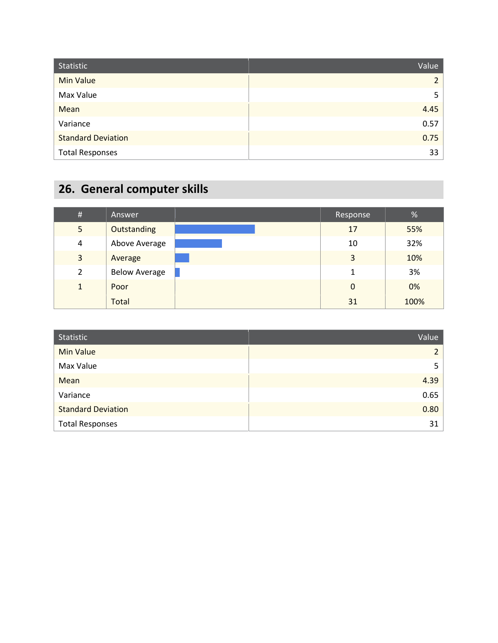| Statistic                 | Value |
|---------------------------|-------|
| <b>Min Value</b>          |       |
| Max Value                 | 5     |
| Mean                      | 4.45  |
| Variance                  | 0.57  |
| <b>Standard Deviation</b> | 0.75  |
| <b>Total Responses</b>    | 33    |

## **26. General computer skills**

| $\#$           | Answer               | Response | %    |
|----------------|----------------------|----------|------|
| 5 <sup>1</sup> | Outstanding          | 17       | 55%  |
| 4              | Above Average        | 10       | 32%  |
| 3              | Average              | 3        | 10%  |
| 2              | <b>Below Average</b> |          | 3%   |
| $\mathbf{1}$   | Poor                 | 0        | 0%   |
|                | Total                | 31       | 100% |

| Statistic                 | Value |
|---------------------------|-------|
| <b>Min Value</b>          |       |
| Max Value                 | 5     |
| Mean                      | 4.39  |
| Variance                  | 0.65  |
| <b>Standard Deviation</b> | 0.80  |
| <b>Total Responses</b>    | 31    |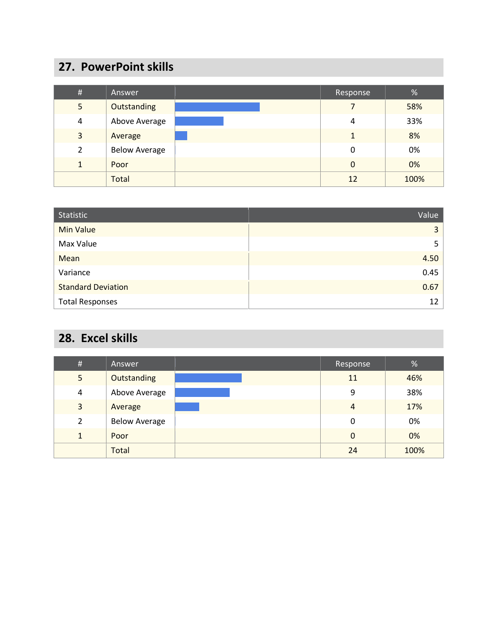#### **27. PowerPoint skills**

| # | Answer               | Response | $\%$ |
|---|----------------------|----------|------|
| 5 | Outstanding          |          | 58%  |
| 4 | Above Average        | 4        | 33%  |
| 3 | Average              |          | 8%   |
| 2 | <b>Below Average</b> | 0        | 0%   |
| 1 | Poor                 | 0        | 0%   |
|   | <b>Total</b>         | 12       | 100% |

| Statistic                 | Value          |
|---------------------------|----------------|
| <b>Min Value</b>          | $\overline{3}$ |
| Max Value                 | 5              |
| Mean                      | 4.50           |
| Variance                  | 0.45           |
| <b>Standard Deviation</b> | 0.67           |
| <b>Total Responses</b>    | 12             |

#### **28. Excel skills**

| $\#$           | Answer               | Response | %    |
|----------------|----------------------|----------|------|
| 5              | Outstanding          | 11       | 46%  |
| $\overline{4}$ | Above Average        | 9        | 38%  |
| 3              | Average              | 4        | 17%  |
| 2              | <b>Below Average</b> | 0        | 0%   |
| $\mathbf{1}$   | Poor                 | 0        | 0%   |
|                | <b>Total</b>         | 24       | 100% |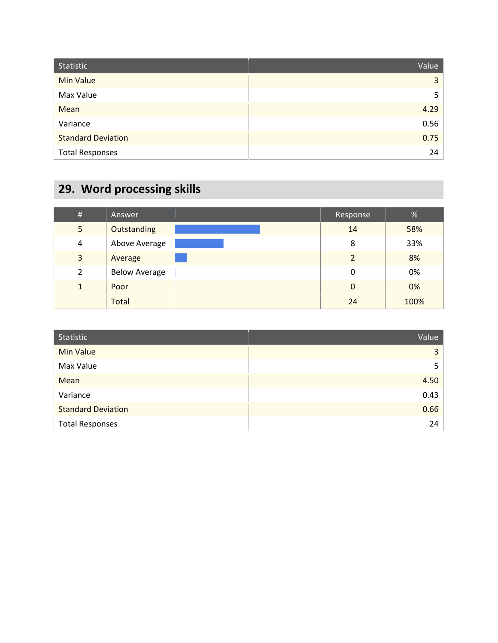| Statistic                 | Value          |
|---------------------------|----------------|
| <b>Min Value</b>          | $\overline{3}$ |
| Max Value                 | 5.             |
| Mean                      | 4.29           |
| Variance                  | 0.56           |
| <b>Standard Deviation</b> | 0.75           |
| <b>Total Responses</b>    | 24             |

## **29. Word processing skills**

| $\#$           | Answer               | Response | %    |
|----------------|----------------------|----------|------|
| 5 <sup>1</sup> | Outstanding          | 14       | 58%  |
| 4              | Above Average        | 8        | 33%  |
| 3              | Average              | 7        | 8%   |
| 2              | <b>Below Average</b> | 0        | 0%   |
| $\mathbf{1}$   | Poor                 | 0        | 0%   |
|                | <b>Total</b>         | 24       | 100% |

| Statistic                 | Value |
|---------------------------|-------|
| <b>Min Value</b>          | 3     |
| Max Value                 | 5     |
| Mean                      | 4.50  |
| Variance                  | 0.43  |
| <b>Standard Deviation</b> | 0.66  |
| <b>Total Responses</b>    | 24    |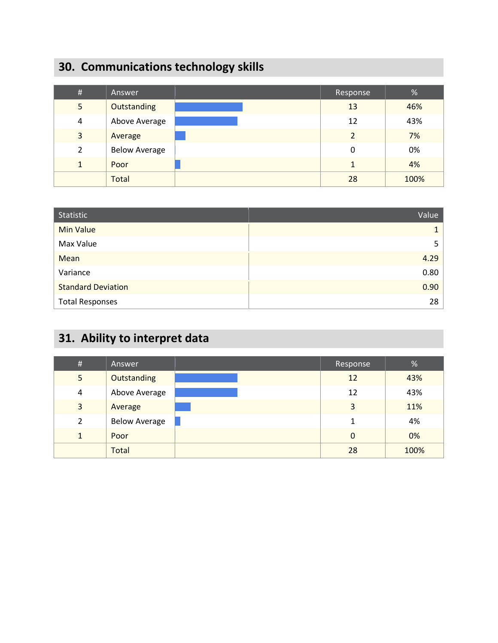## **30. Communications technology skills**

| $\#$         | Answer               | Response      | $\%$ |
|--------------|----------------------|---------------|------|
| 5            | Outstanding          | 13            | 46%  |
| 4            | Above Average        | 12            | 43%  |
| 3            | Average              | $\mathcal{P}$ | 7%   |
| 2            | <b>Below Average</b> | 0             | 0%   |
| $\mathbf{1}$ | Poor                 |               | 4%   |
|              | <b>Total</b>         | 28            | 100% |

| Statistic                 | Value |
|---------------------------|-------|
| <b>Min Value</b>          |       |
| Max Value                 | 5     |
| Mean                      | 4.29  |
| Variance                  | 0.80  |
| <b>Standard Deviation</b> | 0.90  |
| <b>Total Responses</b>    | 28    |

# **31. Ability to interpret data**

| #            | Answer               | Response | $\%$ |
|--------------|----------------------|----------|------|
| 5            | Outstanding          | 12       | 43%  |
| 4            | Above Average        | 12       | 43%  |
| $\mathbf{3}$ | Average              | 3        | 11%  |
| 2            | <b>Below Average</b> |          | 4%   |
| $\mathbf{1}$ | Poor                 | 0        | 0%   |
|              | <b>Total</b>         | 28       | 100% |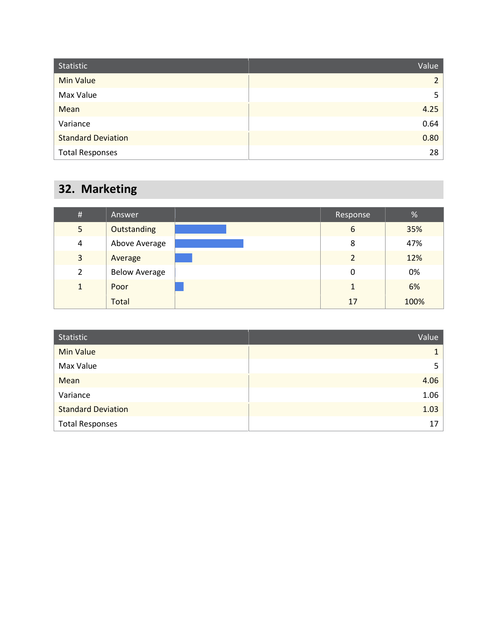| Statistic                 | Value          |
|---------------------------|----------------|
| <b>Min Value</b>          | $\overline{2}$ |
| Max Value                 | 5.             |
| Mean                      | 4.25           |
| Variance                  | 0.64           |
| <b>Standard Deviation</b> | 0.80           |
| <b>Total Responses</b>    | 28             |

### **32. Marketing**

| #            | Answer               | Response | %    |
|--------------|----------------------|----------|------|
| 5            | Outstanding          | 6        | 35%  |
| 4            | Above Average        | 8        | 47%  |
| 3            | Average              | C        | 12%  |
| 2            | <b>Below Average</b> | 0        | 0%   |
| $\mathbf{1}$ | Poor                 |          | 6%   |
|              | <b>Total</b>         | 17       | 100% |

| Statistic                 | Value |
|---------------------------|-------|
| <b>Min Value</b>          |       |
| Max Value                 | 5.    |
| Mean                      | 4.06  |
| Variance                  | 1.06  |
| <b>Standard Deviation</b> | 1.03  |
| <b>Total Responses</b>    | 17    |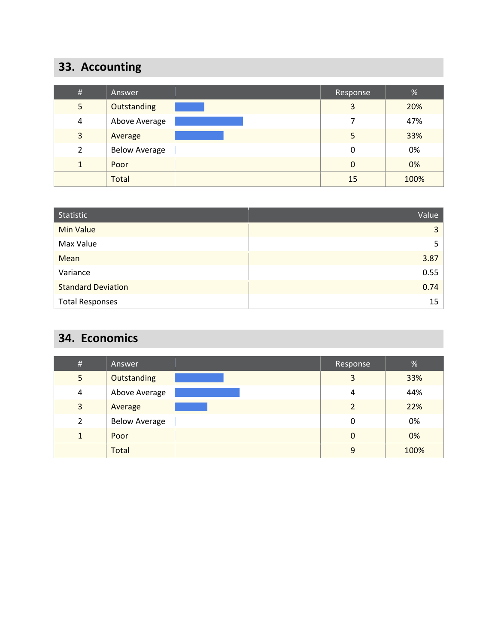## **33. Accounting**

| # | Answer               | Response | %    |
|---|----------------------|----------|------|
| 5 | Outstanding          | 3        | 20%  |
| 4 | Above Average        |          | 47%  |
| 3 | Average              | 5        | 33%  |
| 2 | <b>Below Average</b> | 0        | 0%   |
| 1 | Poor                 | $\Omega$ | 0%   |
|   | <b>Total</b>         | 15       | 100% |

| Statistic                 | Value |
|---------------------------|-------|
| <b>Min Value</b>          | 3     |
| Max Value                 | 5     |
| Mean                      | 3.87  |
| Variance                  | 0.55  |
| <b>Standard Deviation</b> | 0.74  |
| <b>Total Responses</b>    | 15    |

#### **34. Economics**

| $\#$           | Answer               | Response      | $\%$ |
|----------------|----------------------|---------------|------|
| 5              | Outstanding          | 3             | 33%  |
| $\overline{4}$ | Above Average        | 4             | 44%  |
| 3              | Average              | $\mathcal{P}$ | 22%  |
| 2              | <b>Below Average</b> | 0             | 0%   |
| $\mathbf{1}$   | Poor                 | 0             | 0%   |
|                | <b>Total</b>         | 9             | 100% |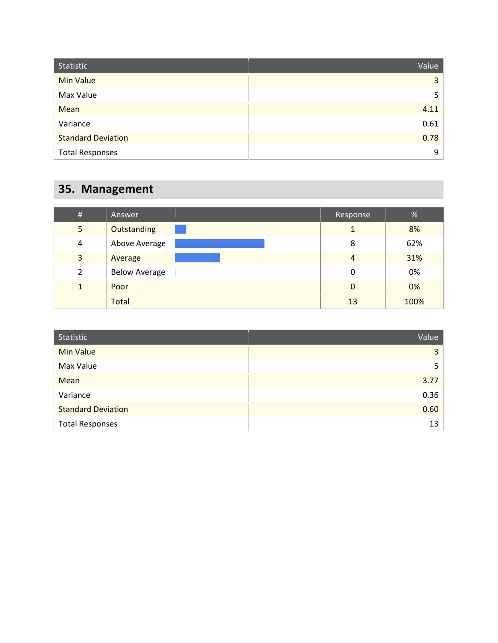| Statistic                 | Value          |
|---------------------------|----------------|
| <b>Min Value</b>          | $\overline{3}$ |
| Max Value                 | 5.             |
| Mean                      | 4.11           |
| Variance                  | 0.61           |
| <b>Standard Deviation</b> | 0.78           |
| <b>Total Responses</b>    | 9              |

### **35. Management**

| $\#$           | Answer               | Response | %    |
|----------------|----------------------|----------|------|
| 5              | Outstanding          |          | 8%   |
| $\overline{4}$ | Above Average        | 8        | 62%  |
| 3              | Average              | 4        | 31%  |
| 2              | <b>Below Average</b> | 0        | 0%   |
| 1              | Poor                 | 0        | 0%   |
|                | Total                | 13       | 100% |

| Statistic                 | Value |
|---------------------------|-------|
| <b>Min Value</b>          | 3     |
| Max Value                 | 5     |
| Mean                      | 3.77  |
| Variance                  | 0.36  |
| <b>Standard Deviation</b> | 0.60  |
| <b>Total Responses</b>    | 13    |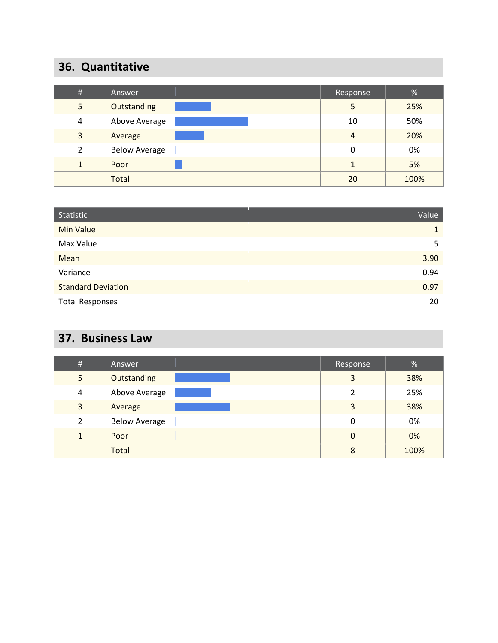#### **36. Quantitative**

| #              | Answer               | Response | %    |
|----------------|----------------------|----------|------|
| 5              | Outstanding          | 5        | 25%  |
| 4              | Above Average        | 10       | 50%  |
| 3              | Average              | 4        | 20%  |
| $\overline{2}$ | <b>Below Average</b> | 0        | 0%   |
| 1              | Poor                 |          | 5%   |
|                | <b>Total</b>         | 20       | 100% |

| Statistic                 | Value |
|---------------------------|-------|
| <b>Min Value</b>          |       |
| Max Value                 | 5.    |
| Mean                      | 3.90  |
| Variance                  | 0.94  |
| <b>Standard Deviation</b> | 0.97  |
| <b>Total Responses</b>    | 20    |

### **37. Business Law**

| $\#$           | Answer               | Response | $\%$ |
|----------------|----------------------|----------|------|
| 5              | Outstanding          | 3        | 38%  |
| $\overline{4}$ | Above Average        | ς.       | 25%  |
| 3              | Average              | 3        | 38%  |
| 2              | <b>Below Average</b> | 0        | 0%   |
| $\mathbf{1}$   | Poor                 | 0        | 0%   |
|                | <b>Total</b>         | 8        | 100% |